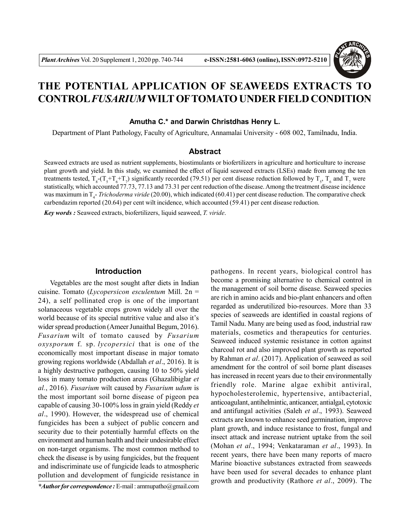

# **THE POTENTIAL APPLICATION OF SEAWEEDS EXTRACTS TO CONTROL***FUSARIUM***WILT OFTOMATO UNDER FIELD CONDITION**

**Amutha C.\* and Darwin Christdhas Henry L.**

Department of Plant Pathology, Faculty of Agriculture, Annamalai University - 608 002, Tamilnadu, India.

## **Abstract**

Seaweed extracts are used as nutrient supplements, biostimulants or biofertilizers in agriculture and horticulture to increase plant growth and yield. In this study, we examined the effect of liquid seaweed extracts (LSEs) made from among the ten treatments tested,  $T_s - (T_s + T_b + T_\gamma)$  significantly recorded (79.51) per cent disease reduction followed by  $T_s$ ,  $T_s$  and  $T_\gamma$  were statistically, which accounted 77.73, 77.13 and 73.31 per cent reduction of the disease. Among the treatment disease incidence was maximum in T<sub>4</sub>- *Trichoderma viride* (20.00), which indicated (60.41) per cent disease reduction. The comparative check carbendazim reported (20.64) per cent wilt incidence, which accounted (59.41) per cent disease reduction.

*Key words :* Seaweed extracts, biofertilizers, liquid seaweed, *T. viride*.

## **Introduction**

Vegetables are the most sought after diets in Indian cuisine. Tomato (*Lycopersicon esculentum* Mill. 2n = 24), a self pollinated crop is one of the important solanaceous vegetable crops grown widely all over the world because of its special nutritive value and also it's wider spread production (Ameer Junaithal Begum, 2016). *Fusarium* wilt of tomato caused by *Fusarium oxysporum* f. sp. *lycopersici* that is one of the economically most important disease in major tomato growing regions worldwide (Abdallah *et al*., 2016). It is a highly destructive pathogen, causing 10 to 50% yield loss in many tomato production areas (Ghazalibiglar *et al.*, 2016). *Fusarium* wilt caused by *Fusarium udum* is the most important soil borne disease of pigeon pea capable of causing 30-100% loss in grain yield (Reddy *et al*., 1990). However, the widespread use of chemical fungicides has been a subject of public concern and security due to their potentially harmful effects on the environment and human health and their undesirable effect on non-target organisms. The most common method to check the disease is by using fungicides, but the frequent and indiscriminate use of fungicide leads to atmospheric pollution and development of fungicide resistance in pathogens. In recent years, biological control has become a promising alternative to chemical control in the management of soil borne disease. Seaweed species are rich in amino acids and bio-plant enhancers and often regarded as underutilized bio-resources. More than 33 species of seaweeds are identified in coastal regions of Tamil Nadu. Many are being used as food, industrial raw materials, cosmetics and therapeutics for centuries. Seaweed induced systemic resistance in cotton against charcoal rot and also improved plant growth as reported by Rahman *et al*. (2017). Application of seaweed as soil amendment for the control of soil borne plant diseases has increased in recent years due to their environmentally friendly role. Marine algae exhibit antiviral, hypocholesterolemic, hypertensive, antibacterial, anticoagulant, antihelmintic, anticancer, antialgal, cytotoxic and antifungal activities (Saleh *et al*., 1993). Seaweed extracts are known to enhance seed germination, improve plant growth, and induce resistance to frost, fungal and insect attack and increase nutrient uptake from the soil (Mohan *et al*., 1994; Venkataraman *et al*., 1993). In recent years, there have been many reports of macro Marine bioactive substances extracted from seaweeds have been used for several decades to enhance plant growth and productivity (Rathore *et al*., 2009). The

*<sup>\*</sup>Author for correspondence :* E-mail : ammupatho@gmail.com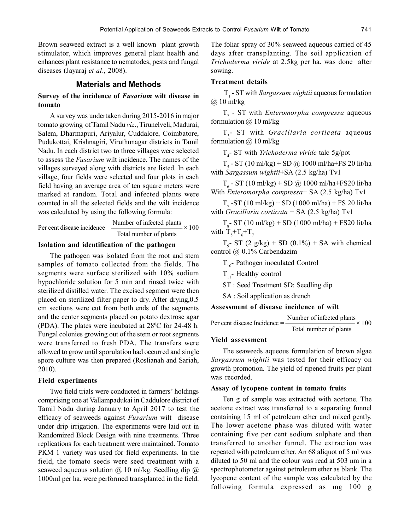Brown seaweed extract is a well known plant growth stimulator, which improves general plant health and enhances plant resistance to nematodes, pests and fungal diseases (Jayaraj *et al*., 2008).

# **Materials and Methods**

# **Survey of the incidence of** *Fusarium* **wilt disease in tomato**

A survey was undertaken during 2015-2016 in major tomato growing of Tamil Nadu viz., Tirunelveli, Madurai, Salem, Dharmapuri, Ariyalur, Cuddalore, Coimbatore, Pudukottai, Krishnagiri, Viruthunagar districts in Tamil Nadu. In each district two to three villages were selected to assess the *Fusarium* wilt incidence. The names of the villages surveyed along with districts are listed. In each village, four fields were selected and four plots in each field having an average area of ten square meters were marked at random. Total and infected plants were counted in all the selected fields and the wilt incidence was calculated by using the following formula:

Per cent disease incidence = 
$$
\frac{\text{Number of infected plants}}{\text{Total number of plants}} \times 100
$$

## **Isolation and identification of the pathogen**

The pathogen was isolated from the root and stem samples of tomato collected from the fields. The segments were surface sterilized with 10% sodium hypochloride solution for 5 min and rinsed twice with sterilized distilled water. The excised segment were then placed on sterilized filter paper to dry. After drying,0.5 cm sections were cut from both ends of the segments and the center segments placed on potato dextrose agar (PDA). The plates were incubated at  $28^{\circ}$ C for 24-48 h. Fungal colonies growing out of the stem or root segments were transferred to fresh PDA. The transfers were allowed to grow until sporulation had occurred and single spore culture was then prepared (Roslianah and Sariah, 2010).

## **Field experiments**

Two field trials were conducted in farmers' holdings comprising one at Vallampadukai in Caddulore district of Tamil Nadu during January to April 2017 to test the efficacy of seaweeds against *Fusarium* wilt disease under drip irrigation. The experiments were laid out in Randomized Block Design with nine treatments. Three replications for each treatment were maintained. Tomato PKM 1 variety was used for field experiments. In the field, the tomato seeds were seed treatment with a seaweed aqueous solution  $\omega$  10 ml/kg. Seedling dip  $\omega$ 1000ml per ha. were performed transplanted in the field.

The foliar spray of 30% seaweed aqueous carried of 45 days after transplanting. The soil application of *Trichoderma viride* at 2.5kg per ha. was done after sowing.

## **Treatment details**

 T1 - ST with *Sargassum wightii* aqueous formulation @ 10 ml/kg

T2 - ST with *Enteromorpha compressa* aqueous formulation  $\omega$  10 ml/kg

T3 - ST with *Gracillaria corticata* aqueous formulation  $\omega$  10 ml/kg

T4 - ST with *Trichoderma viride* talc 5g/pot

 $T_s$  - ST (10 ml/kg) + SD @ 1000 ml/ha+FS 20 lit/ha with *Sargassum wightii*+SA (2.5 kg/ha) Tv1

 $T_6$  - ST (10 ml/kg) + SD @ 1000 ml/ha+FS20 lit/ha With *Enteromorpha compressa*+ SA (2.5 kg/ha) Tv1

 $T_{7}$ -ST (10 ml/kg) + SD (1000 ml/ha) + FS 20 lit/ha with *Gracillaria corticata* + SA (2.5 kg/ha) Tv1

 $T_{8}$ - ST (10 ml/kg) + SD (1000 ml/ha) + FS20 lit/ha with  $T_5 + T_6 + T_7$ 

 $T_{9}$ - ST (2 g/kg) + SD (0.1%) + SA with chemical control @ 0.1% Carbendazim

 $T_{10}$ - Pathogen inoculated Control

 $T_{11}$ - Healthy control

ST : Seed Treatment SD: Seedling dip

SA : Soil application as drench

#### **Assessment of disease incidence of wilt**

Per cent disease Incidence =  $\frac{\text{Number of infected plants}}{\text{400}} \times 100$ Total number of plants

### **Yield assessment**

The seaweeds aqueous formulation of brown algae *Sargassum wightii* was tested for their efficacy on growth promotion. The yield of ripened fruits per plant was recorded.

## **Assay of lycopene content in tomato fruits**

Ten g of sample was extracted with acetone. The acetone extract was transferred to a separating funnel containing 15 ml of petroleum ether and mixed gently. The lower acetone phase was diluted with water containing five per cent sodium sulphate and then transferred to another funnel. The extraction was repeated with petroleum ether. An 68 aliquot of 5 ml was diluted to 50 ml and the colour was read at 503 nm in a spectrophotometer against petroleum ether as blank. The lycopene content of the sample was calculated by the following formula expressed as mg 100 g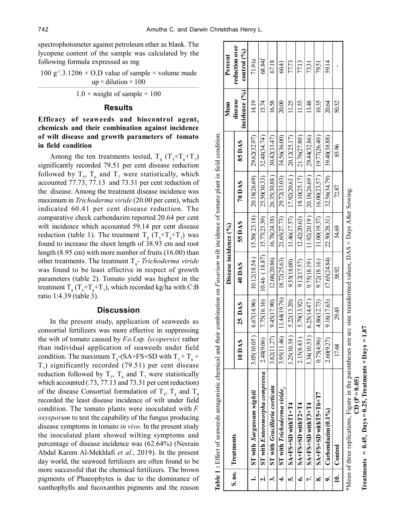spectrophotometer against petroleum ether as blank. The lycopene content of the sample was calculated by the following formula expressed as mg

100 g<sup>-1</sup>.3.1206  $\times$  O.D value of sample  $\times$  volume made up  $\times$  dilution  $\times$  100 \_\_\_\_\_\_\_\_\_\_\_\_\_\_\_\_\_\_\_\_\_\_\_\_\_\_\_\_\_\_\_\_\_\_\_\_\_\_\_\_\_\_\_\_\_\_\_\_\_\_\_\_\_\_\_\_\_\_\_\_\_\_\_\_\_\_

 $1.0 \times$  weight of sample  $\times 100$ 

## **Results**

# **Efficacy of seaweeds and biocontrol agent, chemicals and their combination against incidence of wilt disease and growth parameters of tomato in field condition**

Among the ten treatments tested,  $T_s (T_s + T_6 + T_7)$ significantly recorded 79.51 per cent disease reduction followed by  $T_5$ ,  $T_6$  and  $T_7$  were statistically, which accounted 77.73, 77.13 and 73.31 per cent reduction of the disease. Among the treatment disease incidence was maximum in *Trichoderma viride* (20.00 per cent), which indicated 60.41 per cent disease reduction. The comparative check carbendazim reported 20.64 per cent wilt incidence which accounted 59.14 per cent disease reduction (table 1). The treatment  $T_8$  ( $T_5+T_6+T_7$ ) was found to increase the shoot length of 38.93 cm and root length (8.95 cm) with more number of fruits (16.00) than other treatments. The treatment T<sub>4</sub>- *Trichoderma viride* was found to be least effective in respect of growth parameters (table 2). Tomato yield was highest in the treatment  $T_s(T_s+T_s+T_7)$ , which recorded kg/ha with C:B ratio 1:4.39 (table 3).

# **Discussion**

In the present study, application of seaweeds as consortial fertilizers was more effective in suppressing the wilt of tomato caused by *F.o.*f.sp*. lycopersici* rather than individual application of seaweeds under field condition. The maximum  $T_8$ -(SA+FS+SD with  $T_5 + T_6$  +  $T_7$ ) significantly recorded (79.51) per cent disease reduction followed by  $T_5$ ,  $T_6$  and  $T_7$  were statistically which accounted (.73, 77.13 and 73.31 per cent reduction) of the disease Consortial formulation of  $T_3$ ,  $T_4$  and  $T_9$ recorded the least disease incidence of wilt under field condition. The tomato plants were inoculated with *F. oxysporum* to test the capability of the fungus producing disease symptoms in tomato *in vivo*. In the present study the inoculated plant showed wilting symptoms and percentage of disease incidence was (62.64%) (Nesrain Abdul Karem Al-Mekhlafi *et al*., 2019). In the present day world, the seaweed fertilizers are often found to be more successful that the chemical fertilizers. The brown pigments of Phaeophytes is due to the dominance of xanthophylls and fucoxanthin pigments and the reason

|           |                                                                                                                   |             |              | Disease incidence (%) |              |              |                               | Mean                       | Percent                         |
|-----------|-------------------------------------------------------------------------------------------------------------------|-------------|--------------|-----------------------|--------------|--------------|-------------------------------|----------------------------|---------------------------------|
|           | S.no. Treatments                                                                                                  | 10 DAS      | 25 DAS       | 40 DAS                | 55 DAS       | 70 DAS       | 85DAS                         | incidence $(%)$<br>disease | reduction over<br>control $(%)$ |
|           | ST with Sargassum wightii                                                                                         | 3.05(10.05  | 6.67(14.96)  | 10.12(18.54)          | 15.50(23.18) | 20.18(26.69) | 29.62(32.97)                  | 14.19                      | 71.91e                          |
|           | <b>ST</b> with <i>Enteromorpha compressa</i>                                                                      | 2.48(9.06   | 7.75(16.16)  | 10.46(18.87)          | 15.77(23.39) | 25.50(30.33) | 32.48(34.74)                  | 15.74                      | 68.84f                          |
|           | <b>ST</b> with Gracillaria corticata                                                                              | 3.82(11.27) | 9.45(17.90)  | 12.68(20.86)          | 16.78(24.18) | 26.35(30.88) | 30.42(33.47)                  | 16.58                      | 67.18                           |
|           | <b>ST</b> with <i>Trichoderma viride</i> ,                                                                        | 3.95(11.46) | 11.44(19.76) | 18.72(25.63)          | 21.65(27.73) | 29.72(33.03) | 34.56(36.00)                  | 20.00                      | 60.41                           |
|           | $S_A + FSS + SD width 11 + T4$                                                                                    | 3.25(10.38) | 5.22(13.20)  | 9.55(18.00)           | 11.46(17.57) | 17.92(20.63) | 20.12(25.17)                  | 11.25                      | 77.73                           |
|           | $S_A + F S + S D$ with $T2 + T4$                                                                                  | 2.15(8.43)  | 5.79(13.92)  | 9.12(17.57)           | 12.42(20.63) | 18.10(25.17) | 21.76(27.80)                  | 11.55                      | 77.13                           |
|           | $S_A + F S + S D$ with $T3 + T4$                                                                                  | 3.34(10.53  | 6.25(14.47)  | 9.75(18.19)           | 11.92(20.19) | 20.18(26.69) | 29.44(32.86)                  | 13.48                      | 73.31                           |
| œ         | $S_A + FS + SD$ with $TS + T6 + T7$                                                                               | 0.75(4.96   | 4.86(12.73)  | 9.72(18.16)           | 11.00(19.37) |              | $16.00(23.57)$   19.77(26.40) | 10.35                      | 79.51                           |
|           | Carbendazim (0.1%                                                                                                 | 2.6009.27   | 9.18(17.63)  | 17.65(24.84)          | 22.50(28.31) | 32.56(34.79) | 39.40(38.88)                  | 20.64                      | 59.14                           |
| $\dot{=}$ | Control                                                                                                           | 17.68       | 29.45        | 38.92                 | 54.69        | 72.87        | 85.96                         | 50.52                      |                                 |
|           | *Mean of three replications, Figure in the parentheses are arc sine transformed values, $DAS = Day$ After Sowing. |             |              |                       |              |              |                               |                            |                                 |

| ean of three replications, Figure in the parentheses are are sine transformed values. DAS = Days After Sowing |                       |
|---------------------------------------------------------------------------------------------------------------|-----------------------|
|                                                                                                               |                       |
|                                                                                                               |                       |
|                                                                                                               |                       |
|                                                                                                               |                       |
|                                                                                                               | $\overline{P} = 0.05$ |
|                                                                                                               |                       |
|                                                                                                               |                       |

**Treatments = 0.45, Days = 0.25, Treatments × Days = 1.87** Freatments =  $0.45$ , Days = 0.25, Treatments  $\times$  Days = 1.87 **CD (P = 0.05)**  $\left( 10 \right) \left( 1 - 0.05 \right)$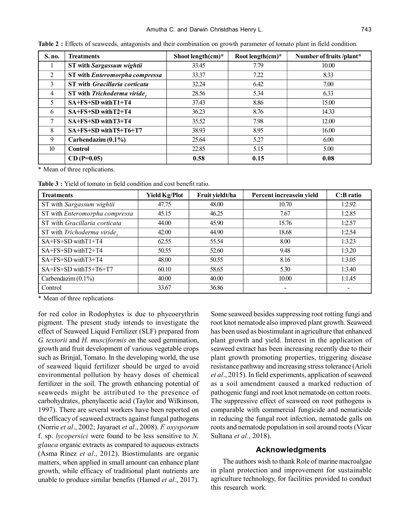| S. no.          | <b>Treatments</b>                           | Shoot length $(cm)^*$ | Root length $(cm)^*$ | Number of fruits /plant* |  |
|-----------------|---------------------------------------------|-----------------------|----------------------|--------------------------|--|
|                 | <b>ST</b> with Sargassum wightii            | 33.45                 | 7.79                 | 10.00                    |  |
| 2               | ST with Enteromorpha compressa              | 33.37                 | 7.22                 | 8.33                     |  |
| 3               | <b>ST</b> with <i>Gracillaria corticata</i> | 32.24                 | 6.42                 | 7.00                     |  |
| $\overline{4}$  | ST with Trichoderma viride,                 | 28.56                 | 5.34                 | 6.33                     |  |
| 5               | SA+FS+SD with T1+T4                         | 37.43                 | 8.86                 | 15.00                    |  |
| 6               | SA+FS+SD with T2+T4                         | 36.23                 | 8.76                 | 14.33                    |  |
| 7               | $SA + FS + SD$ with $T3 + T4$               | 35.52                 | 7.98                 | 12.00                    |  |
| 8               | SA+FS+SD with T5+T6+T7                      | 38.93                 | 8.95                 | 16.00                    |  |
| 9               | Carbendazim $(0.1\%)$                       | 25.64                 | 5.27                 | 6.00                     |  |
| 10 <sup>°</sup> | <b>Control</b>                              | 22.85                 | 5.15                 | 5.00                     |  |
|                 | $CD(P=0.05)$                                | 0.58                  | 0.15                 | 0.08                     |  |

**Table 2 :** Effects of seaweeds, antagonists and their combination on growth parameter of tomato plant in field condition.

\* Mean of three replications.

**Table 3 :** Yield of tomato in field condition and cost benefit ratio.

| <b>Treatments</b>              | <b>Yield Kg/Plot</b> | Fruit yieldt/ha | Percent increasein yield | C:B ratio |
|--------------------------------|----------------------|-----------------|--------------------------|-----------|
| ST with Sargassum wightii      | 47.75                | 48.00           | 10.70                    | 1:2.92    |
| ST with Enteromorpha compressa | 45.15                | 46.25           | 7.67                     | 1:2.85    |
| ST with Gracillaria corticata  | 44.00                | 45.90           | 15.76                    | 1:2.57    |
| ST with Trichoderma viride,    | 42.00                | 44.90           | 18.68                    | 1:2.54    |
| SA+FS+SD withT1+T4             | 62.55                | 55.54           | 8.00                     | 1:3.23    |
| SA+FS+SD withT2+T4             | 50.55                | 52.60           | 9.48                     | 1:3.20    |
| SA+FS+SD withT3+T4             | 48.00                | 50.55           | 8.16                     | 1:3.05    |
| SA+FS+SD withT5+T6+T7          | 60.10                | 58.65           | 5.30                     | 1:3.40    |
| Carbendazim $(0.1\%)$          | 40.00                | 40.00           | 10.00                    | 1:1.45    |
| Control                        | 33.67                | 36.86           | -                        |           |

\* Mean of three replications

for red color in Rodophytes is due to phycoerythrin pigment. The present study intends to investigate the effect of Seaweed Liquid Fertilizer (SLF) prepared from *G. textorii* and *H. musciformis* on the seed germination, growth and fruit development of various vegetable crops such as Brinjal, Tomato. In the developing world, the use of seaweed liquid fertilizer should be urged to avoid environmental pollution by heavy doses of chemical fertilizer in the soil. The growth enhancing potential of seaweeds might be attributed to the presence of carbohydrates, phenylacetic acid (Taylor and Wilkinson, 1997). There are several workers have been reported on the efficacy of seaweed extracts against fungal pathogens (Norrie *et al*., 2002; Jayaraet *et al*., 2008). *F. oxysporum* f. sp. *lycopersici* were found to be less sensitive to *N. glauca* organic extracts as compared to aqueous extracts (Asma Rinez *et al*., 2012). Biostimulants are organic matters, when applied in small amount can enhance plant growth, while efficacy of traditional plant nutrients are unable to produce similar benefits (Hamed *et al*., 2017).

Some seaweed besides suppressing root rotting fungi and root knot nematode also improved plant growth. Seaweed has been used as biostimulant in agriculture that enhanced plant growth and yield. Interest in the application of seaweed extract has been increasing recently due to their plant growth promoting properties, triggering disease resistance pathway and increasing stress tolerance (Arioli *et al*., 2015). In field experiments, application of seaweed as a soil amendment caused a marked reduction of pathogenic fungi and root knot nematode on cotton roots. The suppressive effect of seaweed on root pathogens is comparable with commercial fungicide and nematicide in reducing the fungal root infection, nematode galls on roots and nematode population in soil around roots (Vicar Sultana *et al.*, 2018).

# **Acknowledgments**

The authors wish to thank Role of marine macroalgae in plant protection and improvement for sustainable agriculture technology, for facilities provided to conduct this research work.